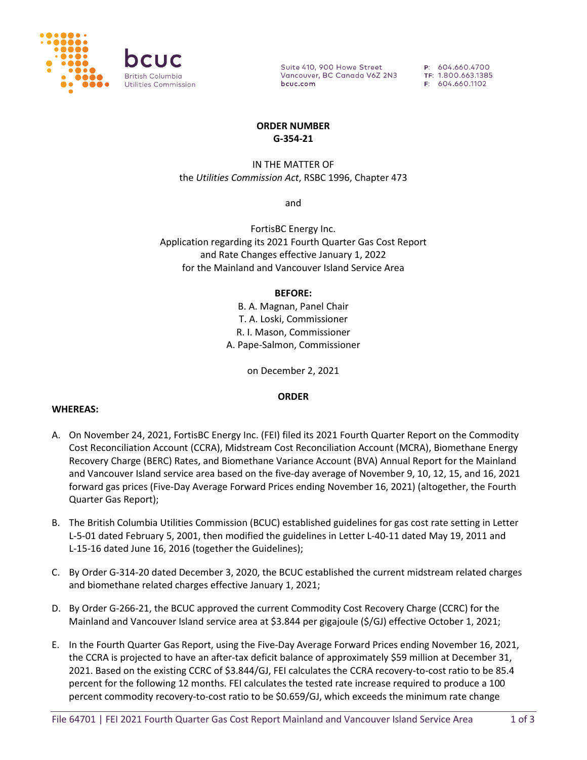

Suite 410, 900 Howe Street Vancouver, BC Canada V6Z 2N3 bcuc.com

P: 604.660.4700 TF: 1.800.663.1385 F: 604.660.1102

### **ORDER NUMBER G-354-21**

# IN THE MATTER OF the *Utilities Commission Act*, RSBC 1996, Chapter 473

and

FortisBC Energy Inc. Application regarding its 2021 Fourth Quarter Gas Cost Report and Rate Changes effective January 1, 2022 for the Mainland and Vancouver Island Service Area

### **BEFORE:**

B. A. Magnan, Panel Chair T. A. Loski, Commissioner R. I. Mason, Commissioner A. Pape-Salmon, Commissioner

on December 2, 2021

### **ORDER**

### **WHEREAS:**

- A. On November 24, 2021, FortisBC Energy Inc. (FEI) filed its 2021 Fourth Quarter Report on the Commodity Cost Reconciliation Account (CCRA), Midstream Cost Reconciliation Account (MCRA), Biomethane Energy Recovery Charge (BERC) Rates, and Biomethane Variance Account (BVA) Annual Report for the Mainland and Vancouver Island service area based on the five-day average of November 9, 10, 12, 15, and 16, 2021 forward gas prices (Five-Day Average Forward Prices ending November 16, 2021) (altogether, the Fourth Quarter Gas Report);
- B. The British Columbia Utilities Commission (BCUC) established guidelines for gas cost rate setting in Letter L-5-01 dated February 5, 2001, then modified the guidelines in Letter L-40-11 dated May 19, 2011 and L-15-16 dated June 16, 2016 (together the Guidelines);
- C. By Order G-314-20 dated December 3, 2020, the BCUC established the current midstream related charges and biomethane related charges effective January 1, 2021;
- D. By Order G-266-21, the BCUC approved the current Commodity Cost Recovery Charge (CCRC) for the Mainland and Vancouver Island service area at \$3.844 per gigajoule (\$/GJ) effective October 1, 2021;
- E. In the Fourth Quarter Gas Report, using the Five-Day Average Forward Prices ending November 16, 2021, the CCRA is projected to have an after-tax deficit balance of approximately \$59 million at December 31, 2021. Based on the existing CCRC of \$3.844/GJ, FEI calculates the CCRA recovery-to-cost ratio to be 85.4 percent for the following 12 months. FEI calculates the tested rate increase required to produce a 100 percent commodity recovery-to-cost ratio to be \$0.659/GJ, which exceeds the minimum rate change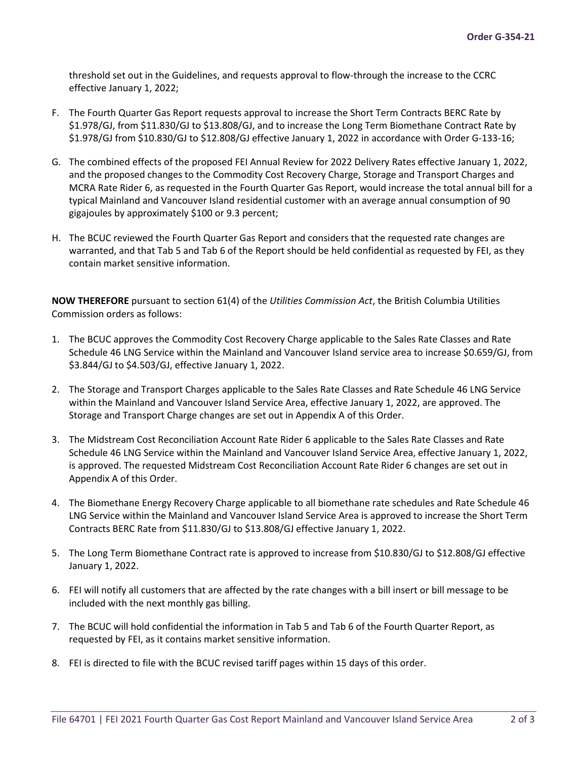threshold set out in the Guidelines, and requests approval to flow-through the increase to the CCRC effective January 1, 2022;

- F. The Fourth Quarter Gas Report requests approval to increase the Short Term Contracts BERC Rate by \$1.978/GJ, from \$11.830/GJ to \$13.808/GJ, and to increase the Long Term Biomethane Contract Rate by \$1.978/GJ from \$10.830/GJ to \$12.808/GJ effective January 1, 2022 in accordance with Order G-133-16;
- G. The combined effects of the proposed FEI Annual Review for 2022 Delivery Rates effective January 1, 2022, and the proposed changes to the Commodity Cost Recovery Charge, Storage and Transport Charges and MCRA Rate Rider 6, as requested in the Fourth Quarter Gas Report, would increase the total annual bill for a typical Mainland and Vancouver Island residential customer with an average annual consumption of 90 gigajoules by approximately \$100 or 9.3 percent;
- H. The BCUC reviewed the Fourth Quarter Gas Report and considers that the requested rate changes are warranted, and that Tab 5 and Tab 6 of the Report should be held confidential as requested by FEI, as they contain market sensitive information.

**NOW THEREFORE** pursuant to section 61(4) of the *Utilities Commission Act*, the British Columbia Utilities Commission orders as follows:

- 1. The BCUC approves the Commodity Cost Recovery Charge applicable to the Sales Rate Classes and Rate Schedule 46 LNG Service within the Mainland and Vancouver Island service area to increase \$0.659/GJ, from \$3.844/GJ to \$4.503/GJ, effective January 1, 2022.
- 2. The Storage and Transport Charges applicable to the Sales Rate Classes and Rate Schedule 46 LNG Service within the Mainland and Vancouver Island Service Area, effective January 1, 2022, are approved. The Storage and Transport Charge changes are set out in Appendix A of this Order.
- 3. The Midstream Cost Reconciliation Account Rate Rider 6 applicable to the Sales Rate Classes and Rate Schedule 46 LNG Service within the Mainland and Vancouver Island Service Area, effective January 1, 2022, is approved. The requested Midstream Cost Reconciliation Account Rate Rider 6 changes are set out in Appendix A of this Order.
- 4. The Biomethane Energy Recovery Charge applicable to all biomethane rate schedules and Rate Schedule 46 LNG Service within the Mainland and Vancouver Island Service Area is approved to increase the Short Term Contracts BERC Rate from \$11.830/GJ to \$13.808/GJ effective January 1, 2022.
- 5. The Long Term Biomethane Contract rate is approved to increase from \$10.830/GJ to \$12.808/GJ effective January 1, 2022.
- 6. FEI will notify all customers that are affected by the rate changes with a bill insert or bill message to be included with the next monthly gas billing.
- 7. The BCUC will hold confidential the information in Tab 5 and Tab 6 of the Fourth Quarter Report, as requested by FEI, as it contains market sensitive information.
- 8. FEI is directed to file with the BCUC revised tariff pages within 15 days of this order.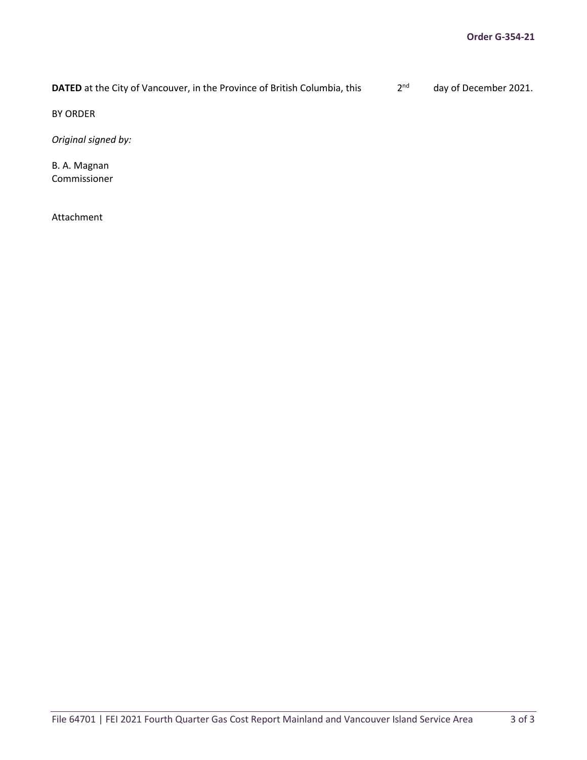**DATED** at the City of Vancouver, in the Province of British Columbia, this 2<sup>nd</sup> day of December 2021.

BY ORDER

*Original signed by:*

B. A. Magnan Commissioner

Attachment